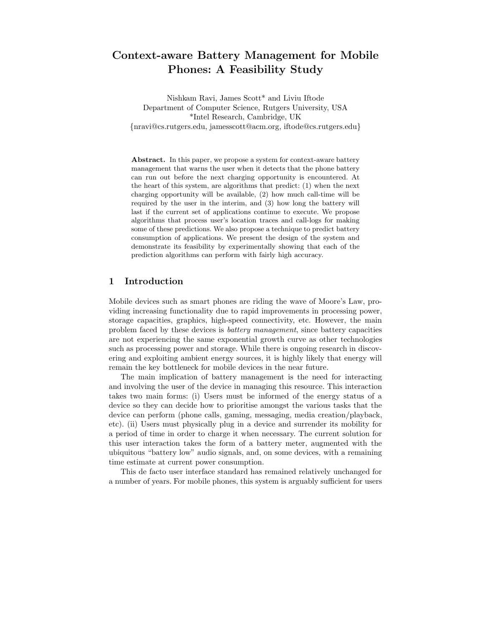# Context-aware Battery Management for Mobile Phones: A Feasibility Study

Nishkam Ravi, James Scott\* and Liviu Iftode Department of Computer Science, Rutgers University, USA \*Intel Research, Cambridge, UK {nravi@cs.rutgers.edu, jamesscott@acm.org, iftode@cs.rutgers.edu}

Abstract. In this paper, we propose a system for context-aware battery management that warns the user when it detects that the phone battery can run out before the next charging opportunity is encountered. At the heart of this system, are algorithms that predict: (1) when the next charging opportunity will be available, (2) how much call-time will be required by the user in the interim, and (3) how long the battery will last if the current set of applications continue to execute. We propose algorithms that process user's location traces and call-logs for making some of these predictions. We also propose a technique to predict battery consumption of applications. We present the design of the system and demonstrate its feasibility by experimentally showing that each of the prediction algorithms can perform with fairly high accuracy.

# 1 Introduction

Mobile devices such as smart phones are riding the wave of Moore's Law, providing increasing functionality due to rapid improvements in processing power, storage capacities, graphics, high-speed connectivity, etc. However, the main problem faced by these devices is battery management, since battery capacities are not experiencing the same exponential growth curve as other technologies such as processing power and storage. While there is ongoing research in discovering and exploiting ambient energy sources, it is highly likely that energy will remain the key bottleneck for mobile devices in the near future.

The main implication of battery management is the need for interacting and involving the user of the device in managing this resource. This interaction takes two main forms: (i) Users must be informed of the energy status of a device so they can decide how to prioritise amongst the various tasks that the device can perform (phone calls, gaming, messaging, media creation/playback, etc). (ii) Users must physically plug in a device and surrender its mobility for a period of time in order to charge it when necessary. The current solution for this user interaction takes the form of a battery meter, augmented with the ubiquitous "battery low" audio signals, and, on some devices, with a remaining time estimate at current power consumption.

This de facto user interface standard has remained relatively unchanged for a number of years. For mobile phones, this system is arguably sufficient for users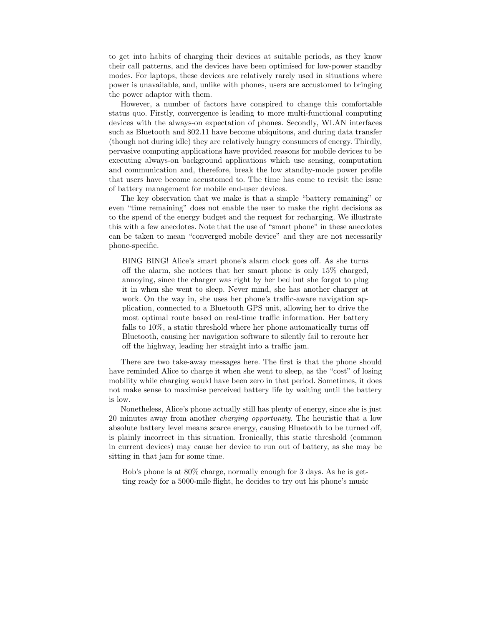to get into habits of charging their devices at suitable periods, as they know their call patterns, and the devices have been optimised for low-power standby modes. For laptops, these devices are relatively rarely used in situations where power is unavailable, and, unlike with phones, users are accustomed to bringing the power adaptor with them.

However, a number of factors have conspired to change this comfortable status quo. Firstly, convergence is leading to more multi-functional computing devices with the always-on expectation of phones. Secondly, WLAN interfaces such as Bluetooth and 802.11 have become ubiquitous, and during data transfer (though not during idle) they are relatively hungry consumers of energy. Thirdly, pervasive computing applications have provided reasons for mobile devices to be executing always-on background applications which use sensing, computation and communication and, therefore, break the low standby-mode power profile that users have become accustomed to. The time has come to revisit the issue of battery management for mobile end-user devices.

The key observation that we make is that a simple "battery remaining" or even "time remaining" does not enable the user to make the right decisions as to the spend of the energy budget and the request for recharging. We illustrate this with a few anecdotes. Note that the use of "smart phone" in these anecdotes can be taken to mean "converged mobile device" and they are not necessarily phone-specific.

BING BING! Alice's smart phone's alarm clock goes off. As she turns off the alarm, she notices that her smart phone is only 15% charged, annoying, since the charger was right by her bed but she forgot to plug it in when she went to sleep. Never mind, she has another charger at work. On the way in, she uses her phone's traffic-aware navigation application, connected to a Bluetooth GPS unit, allowing her to drive the most optimal route based on real-time traffic information. Her battery falls to 10%, a static threshold where her phone automatically turns off Bluetooth, causing her navigation software to silently fail to reroute her off the highway, leading her straight into a traffic jam.

There are two take-away messages here. The first is that the phone should have reminded Alice to charge it when she went to sleep, as the "cost" of losing mobility while charging would have been zero in that period. Sometimes, it does not make sense to maximise perceived battery life by waiting until the battery is low.

Nonetheless, Alice's phone actually still has plenty of energy, since she is just 20 minutes away from another charging opportunity. The heuristic that a low absolute battery level means scarce energy, causing Bluetooth to be turned off, is plainly incorrect in this situation. Ironically, this static threshold (common in current devices) may cause her device to run out of battery, as she may be sitting in that jam for some time.

Bob's phone is at 80% charge, normally enough for 3 days. As he is getting ready for a 5000-mile flight, he decides to try out his phone's music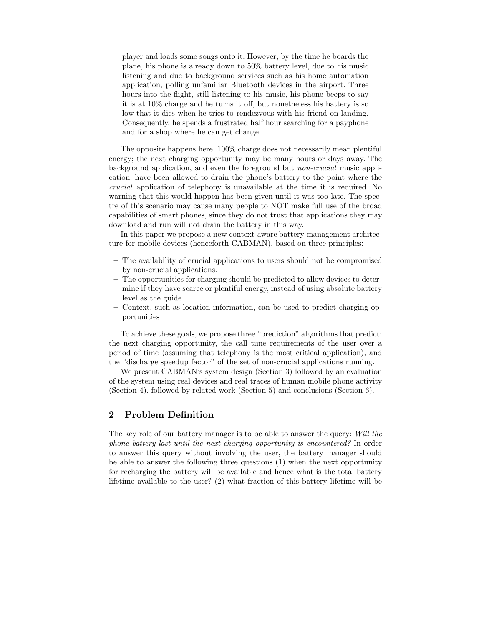player and loads some songs onto it. However, by the time he boards the plane, his phone is already down to 50% battery level, due to his music listening and due to background services such as his home automation application, polling unfamiliar Bluetooth devices in the airport. Three hours into the flight, still listening to his music, his phone beeps to say it is at 10% charge and he turns it off, but nonetheless his battery is so low that it dies when he tries to rendezvous with his friend on landing. Consequently, he spends a frustrated half hour searching for a payphone and for a shop where he can get change.

The opposite happens here. 100% charge does not necessarily mean plentiful energy; the next charging opportunity may be many hours or days away. The background application, and even the foreground but non-crucial music application, have been allowed to drain the phone's battery to the point where the crucial application of telephony is unavailable at the time it is required. No warning that this would happen has been given until it was too late. The spectre of this scenario may cause many people to NOT make full use of the broad capabilities of smart phones, since they do not trust that applications they may download and run will not drain the battery in this way.

In this paper we propose a new context-aware battery management architecture for mobile devices (henceforth CABMAN), based on three principles:

- The availability of crucial applications to users should not be compromised by non-crucial applications.
- The opportunities for charging should be predicted to allow devices to determine if they have scarce or plentiful energy, instead of using absolute battery level as the guide
- Context, such as location information, can be used to predict charging opportunities

To achieve these goals, we propose three "prediction" algorithms that predict: the next charging opportunity, the call time requirements of the user over a period of time (assuming that telephony is the most critical application), and the "discharge speedup factor" of the set of non-crucial applications running.

We present CABMAN's system design (Section 3) followed by an evaluation of the system using real devices and real traces of human mobile phone activity (Section 4), followed by related work (Section 5) and conclusions (Section 6).

# 2 Problem Definition

The key role of our battery manager is to be able to answer the query: Will the phone battery last until the next charging opportunity is encountered? In order to answer this query without involving the user, the battery manager should be able to answer the following three questions (1) when the next opportunity for recharging the battery will be available and hence what is the total battery lifetime available to the user? (2) what fraction of this battery lifetime will be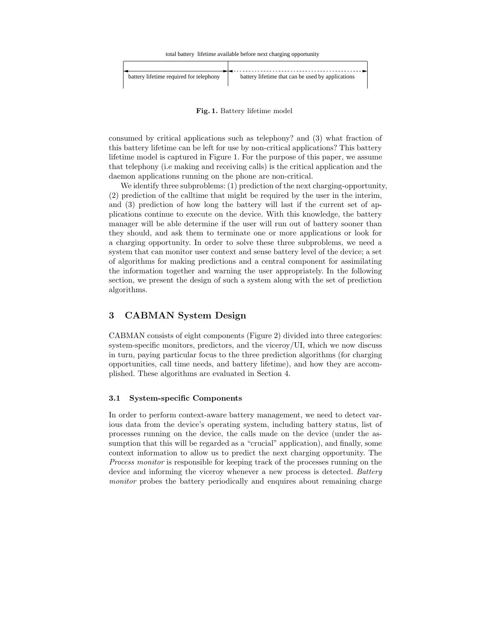total battery lifetime available before next charging opportunity



Fig. 1. Battery lifetime model

consumed by critical applications such as telephony? and (3) what fraction of this battery lifetime can be left for use by non-critical applications? This battery lifetime model is captured in Figure 1. For the purpose of this paper, we assume that telephony (i.e making and receiving calls) is the critical application and the daemon applications running on the phone are non-critical.

We identify three subproblems: (1) prediction of the next charging-opportunity, (2) prediction of the calltime that might be required by the user in the interim, and (3) prediction of how long the battery will last if the current set of applications continue to execute on the device. With this knowledge, the battery manager will be able determine if the user will run out of battery sooner than they should, and ask them to terminate one or more applications or look for a charging opportunity. In order to solve these three subproblems, we need a system that can monitor user context and sense battery level of the device; a set of algorithms for making predictions and a central component for assimilating the information together and warning the user appropriately. In the following section, we present the design of such a system along with the set of prediction algorithms.

# 3 CABMAN System Design

CABMAN consists of eight components (Figure 2) divided into three categories: system-specific monitors, predictors, and the viceroy/UI, which we now discuss in turn, paying particular focus to the three prediction algorithms (for charging opportunities, call time needs, and battery lifetime), and how they are accomplished. These algorithms are evaluated in Section 4.

### 3.1 System-specific Components

In order to perform context-aware battery management, we need to detect various data from the device's operating system, including battery status, list of processes running on the device, the calls made on the device (under the assumption that this will be regarded as a "crucial" application), and finally, some context information to allow us to predict the next charging opportunity. The Process monitor is responsible for keeping track of the processes running on the device and informing the viceroy whenever a new process is detected. Battery monitor probes the battery periodically and enquires about remaining charge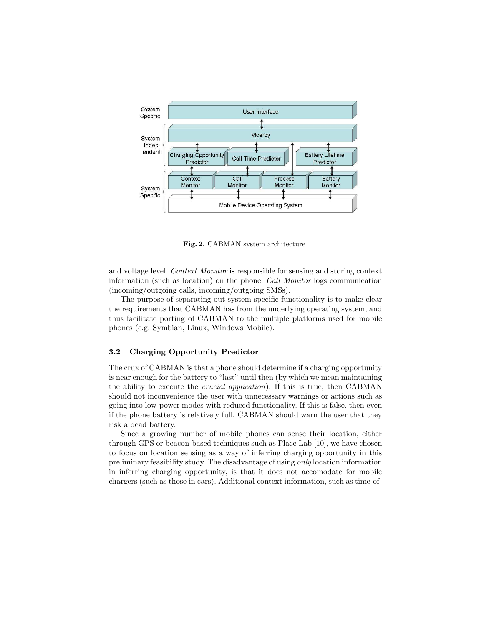

Fig. 2. CABMAN system architecture

and voltage level. Context Monitor is responsible for sensing and storing context information (such as location) on the phone. Call Monitor logs communication (incoming/outgoing calls, incoming/outgoing SMSs).

The purpose of separating out system-specific functionality is to make clear the requirements that CABMAN has from the underlying operating system, and thus facilitate porting of CABMAN to the multiple platforms used for mobile phones (e.g. Symbian, Linux, Windows Mobile).

### 3.2 Charging Opportunity Predictor

The crux of CABMAN is that a phone should determine if a charging opportunity is near enough for the battery to "last" until then (by which we mean maintaining the ability to execute the crucial application). If this is true, then CABMAN should not inconvenience the user with unnecessary warnings or actions such as going into low-power modes with reduced functionality. If this is false, then even if the phone battery is relatively full, CABMAN should warn the user that they risk a dead battery.

Since a growing number of mobile phones can sense their location, either through GPS or beacon-based techniques such as Place Lab [10], we have chosen to focus on location sensing as a way of inferring charging opportunity in this preliminary feasibility study. The disadvantage of using only location information in inferring charging opportunity, is that it does not accomodate for mobile chargers (such as those in cars). Additional context information, such as time-of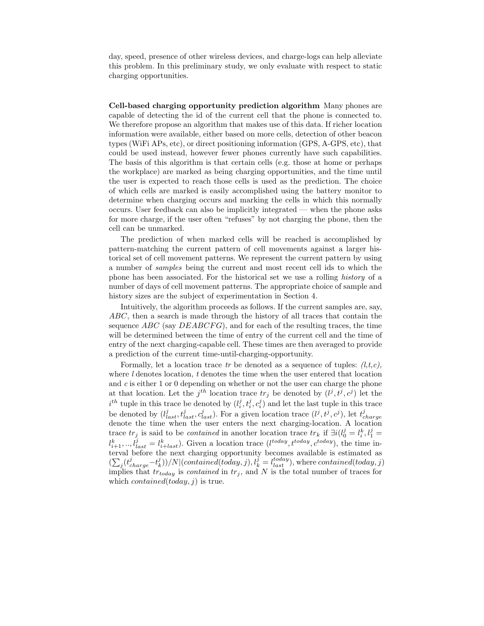day, speed, presence of other wireless devices, and charge-logs can help alleviate this problem. In this preliminary study, we only evaluate with respect to static charging opportunities.

Cell-based charging opportunity prediction algorithm Many phones are capable of detecting the id of the current cell that the phone is connected to. We therefore propose an algorithm that makes use of this data. If richer location information were available, either based on more cells, detection of other beacon types (WiFi APs, etc), or direct positioning information (GPS, A-GPS, etc), that could be used instead, however fewer phones currently have such capabilities. The basis of this algorithm is that certain cells (e.g. those at home or perhaps the workplace) are marked as being charging opportunities, and the time until the user is expected to reach those cells is used as the prediction. The choice of which cells are marked is easily accomplished using the battery monitor to determine when charging occurs and marking the cells in which this normally occurs. User feedback can also be implicitly integrated — when the phone asks for more charge, if the user often "refuses" by not charging the phone, then the cell can be unmarked.

The prediction of when marked cells will be reached is accomplished by pattern-matching the current pattern of cell movements against a larger historical set of cell movement patterns. We represent the current pattern by using a number of samples being the current and most recent cell ids to which the phone has been associated. For the historical set we use a rolling history of a number of days of cell movement patterns. The appropriate choice of sample and history sizes are the subject of experimentation in Section 4.

Intuitively, the algorithm proceeds as follows. If the current samples are, say, ABC, then a search is made through the history of all traces that contain the sequence  $ABC$  (say  $DEABCFG)$ , and for each of the resulting traces, the time will be determined between the time of entry of the current cell and the time of entry of the next charging-capable cell. These times are then averaged to provide a prediction of the current time-until-charging-opportunity.

Formally, let a location trace tr be denoted as a sequence of tuples:  $(l,t,c)$ , where  $l$  denotes location,  $t$  denotes the time when the user entered that location and c is either 1 or 0 depending on whether or not the user can charge the phone at that location. Let the  $j^{th}$  location trace  $tr_j$  be denoted by  $(l^j, t^j, c^j)$  let the  $i^{th}$  tuple in this trace be denoted by  $(l_i^j, t_i^j, c_i^j)$  and let the last tuple in this trace be denoted by  $(l_{last}^j, t_{last}^j, c_{last}^j)$ . For a given location trace  $(l^j, t^j, c^j)$ , let  $t_{charge}^j$ denote the time when the user enters the next charging-location. A location trace  $tr_j$  is said to be *contained* in another location trace  $tr_k$  if  $\exists i(l_0^j = l_i^k, l_1^j =$  $l_{i+1}^k, ..., l_{last}^j = l_{i+last}^k$ ). Given a location trace  $(l^{today}, t^{today}, c^{today})$ , the time interval before the next charging opportunity becomes available is estimated as  $(\sum_j (t_{charge}^j - t_k^j))/N|(contained(today, j), l_k^j = l_{last}^{today})$ , where contained(today, j) implies that  $tr_{today}$  is *contained* in  $tr_j$ , and N is the total number of traces for which *contained*( $today, j$ ) is true.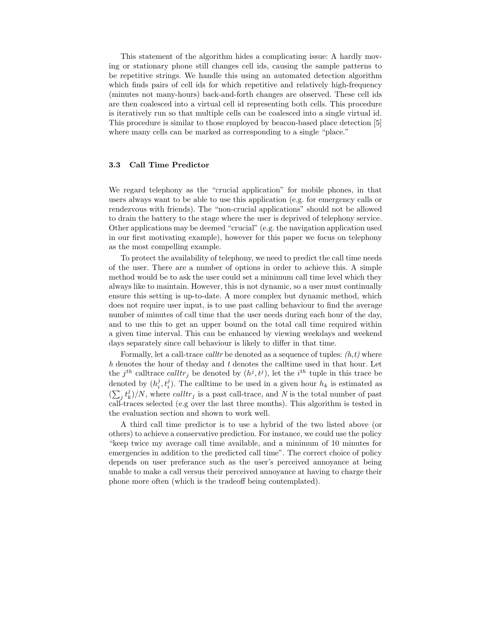This statement of the algorithm hides a complicating issue: A hardly moving or stationary phone still changes cell ids, causing the sample patterns to be repetitive strings. We handle this using an automated detection algorithm which finds pairs of cell ids for which repetitive and relatively high-frequency (minutes not many-hours) back-and-forth changes are observed. These cell ids are then coalesced into a virtual cell id representing both cells. This procedure is iteratively run so that multiple cells can be coalesced into a single virtual id. This procedure is similar to those employed by beacon-based place detection [5] where many cells can be marked as corresponding to a single "place."

### 3.3 Call Time Predictor

We regard telephony as the "crucial application" for mobile phones, in that users always want to be able to use this application (e.g. for emergency calls or rendezvous with friends). The "non-crucial applications" should not be allowed to drain the battery to the stage where the user is deprived of telephony service. Other applications may be deemed "crucial" (e.g. the navigation application used in our first motivating example), however for this paper we focus on telephony as the most compelling example.

To protect the availability of telephony, we need to predict the call time needs of the user. There are a number of options in order to achieve this. A simple method would be to ask the user could set a minimum call time level which they always like to maintain. However, this is not dynamic, so a user must continually ensure this setting is up-to-date. A more complex but dynamic method, which does not require user input, is to use past calling behaviour to find the average number of minutes of call time that the user needs during each hour of the day, and to use this to get an upper bound on the total call time required within a given time interval. This can be enhanced by viewing weekdays and weekend days separately since call behaviour is likely to differ in that time.

Formally, let a call-trace *calltr* be denoted as a sequence of tuples:  $(h,t)$  where  $h$  denotes the hour of theday and  $t$  denotes the calltime used in that hour. Let the  $j^{th}$  calltrace calltr<sub>j</sub> be denoted by  $(h^j, t^j)$ , let the i<sup>th</sup> tuple in this trace be denoted by  $(h_i^j, t_i^j)$ . The calltime to be used in a given hour  $h_k$  is estimated as  $(\sum_j t_k^j)/N$ , where calltr<sub>j</sub> is a past call-trace, and N is the total number of past call-traces selected (e.g over the last three months). This algorithm is tested in the evaluation section and shown to work well.

A third call time predictor is to use a hybrid of the two listed above (or others) to achieve a conservative prediction. For instance, we could use the policy "keep twice my average call time available, and a minimum of 10 minutes for emergencies in addition to the predicted call time". The correct choice of policy depends on user preferance such as the user's perceived annoyance at being unable to make a call versus their perceived annoyance at having to charge their phone more often (which is the tradeoff being contemplated).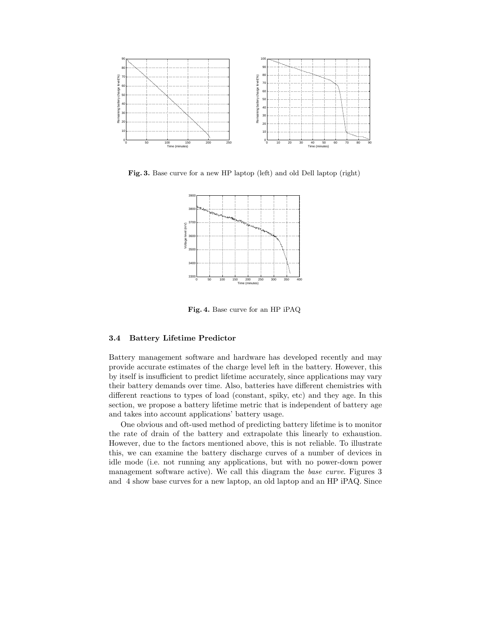

Fig. 3. Base curve for a new HP laptop (left) and old Dell laptop (right)



Fig. 4. Base curve for an HP iPAQ

### 3.4 Battery Lifetime Predictor

Battery management software and hardware has developed recently and may provide accurate estimates of the charge level left in the battery. However, this by itself is insufficient to predict lifetime accurately, since applications may vary their battery demands over time. Also, batteries have different chemistries with different reactions to types of load (constant, spiky, etc) and they age. In this section, we propose a battery lifetime metric that is independent of battery age and takes into account applications' battery usage.

One obvious and oft-used method of predicting battery lifetime is to monitor the rate of drain of the battery and extrapolate this linearly to exhaustion. However, due to the factors mentioned above, this is not reliable. To illustrate this, we can examine the battery discharge curves of a number of devices in idle mode (i.e. not running any applications, but with no power-down power management software active). We call this diagram the base curve. Figures 3 and 4 show base curves for a new laptop, an old laptop and an HP iPAQ. Since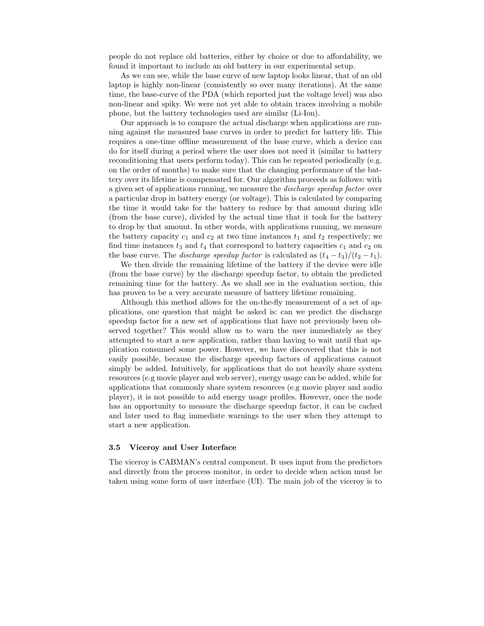people do not replace old batteries, either by choice or due to affordability, we found it important to include an old battery in our experimental setup.

As we can see, while the base curve of new laptop looks linear, that of an old laptop is highly non-linear (consistently so over many iterations). At the same time, the base-curve of the PDA (which reported just the voltage level) was also non-linear and spiky. We were not yet able to obtain traces involving a mobile phone, but the battery technologies used are similar (Li-Ion).

Our approach is to compare the actual discharge when applications are running against the measured base curves in order to predict for battery life. This requires a one-time offline measurement of the base curve, which a device can do for itself during a period where the user does not need it (similar to battery reconditioning that users perform today). This can be repeated periodically (e.g. on the order of months) to make sure that the changing performance of the battery over its lifetime is compensated for. Our algorithm proceeds as follows: with a given set of applications running, we measure the discharge speedup factor over a particular drop in battery energy (or voltage). This is calculated by comparing the time it would take for the battery to reduce by that amount during idle (from the base curve), divided by the actual time that it took for the battery to drop by that amount. In other words, with applications running, we measure the battery capacity  $c_1$  and  $c_2$  at two time instances  $t_1$  and  $t_2$  respectively; we find time instances  $t_3$  and  $t_4$  that correspond to battery capacities  $c_1$  and  $c_2$  on the base curve. The *discharge speedup factor* is calculated as  $(t_4 - t_3)/(t_2 - t_1)$ .

We then divide the remaining lifetime of the battery if the device were idle (from the base curve) by the discharge speedup factor, to obtain the predicted remaining time for the battery. As we shall see in the evaluation section, this has proven to be a very accurate measure of battery lifetime remaining.

Although this method allows for the on-the-fly measurement of a set of applications, one question that might be asked is: can we predict the discharge speedup factor for a new set of applications that have not previously been observed together? This would allow us to warn the user immediately as they attempted to start a new application, rather than having to wait until that application consumed some power. However, we have discovered that this is not easily possible, because the discharge speedup factors of applications cannot simply be added. Intuitively, for applications that do not heavily share system resources (e.g movie player and web server), energy usage can be added, while for applications that commonly share system resources (e.g movie player and audio player), it is not possible to add energy usage profiles. However, once the node has an opportunity to measure the discharge speedup factor, it can be cached and later used to flag immediate warnings to the user when they attempt to start a new application.

#### 3.5 Viceroy and User Interface

The viceroy is CABMAN's central component. It uses input from the predictors and directly from the process monitor, in order to decide when action must be taken using some form of user interface (UI). The main job of the viceroy is to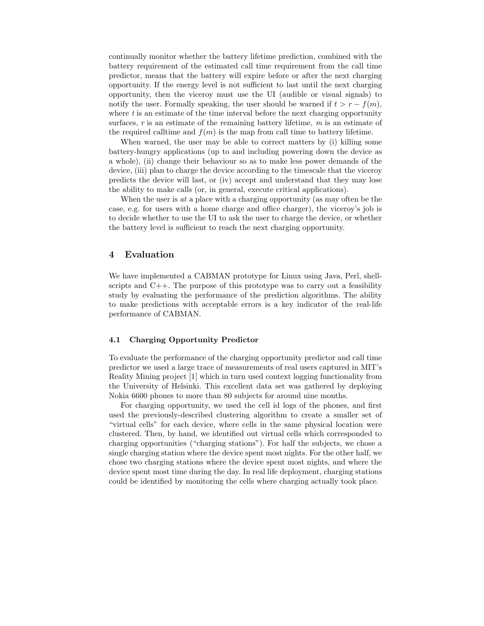continually monitor whether the battery lifetime prediction, combined with the battery requirement of the estimated call time requirement from the call time predictor, means that the battery will expire before or after the next charging opportunity. If the energy level is not sufficient to last until the next charging opportunity, then the viceroy must use the UI (audible or visual signals) to notify the user. Formally speaking, the user should be warned if  $t > r - f(m)$ , where  $t$  is an estimate of the time interval before the next charging opportunity surfaces,  $r$  is an estimate of the remaining battery lifetime,  $m$  is an estimate of the required calltime and  $f(m)$  is the map from call time to battery lifetime.

When warned, the user may be able to correct matters by (i) killing some battery-hungry applications (up to and including powering down the device as a whole), (ii) change their behaviour so as to make less power demands of the device, (iii) plan to charge the device according to the timescale that the viceroy predicts the device will last, or (iv) accept and understand that they may lose the ability to make calls (or, in general, execute critical applications).

When the user is  $at$  a place with a charging opportunity (as may often be the case, e.g. for users with a home charge and office charger), the viceroy's job is to decide whether to use the UI to ask the user to charge the device, or whether the battery level is sufficient to reach the next charging opportunity.

## 4 Evaluation

We have implemented a CABMAN prototype for Linux using Java, Perl, shellscripts and  $C_{++}$ . The purpose of this prototype was to carry out a feasibility study by evaluating the performance of the prediction algorithms. The ability to make predictions with acceptable errors is a key indicator of the real-life performance of CABMAN.

### 4.1 Charging Opportunity Predictor

To evaluate the performance of the charging opportunity predictor and call time predictor we used a large trace of measurements of real users captured in MIT's Reality Mining project [1] which in turn used context logging functionality from the University of Helsinki. This excellent data set was gathered by deploying Nokia 6600 phones to more than 80 subjects for around nine months.

For charging opportunity, we used the cell id logs of the phones, and first used the previously-described clustering algorithm to create a smaller set of "virtual cells" for each device, where cells in the same physical location were clustered. Then, by hand, we identified out virtual cells which corresponded to charging opportunities ("charging stations"). For half the subjects, we chose a single charging station where the device spent most nights. For the other half, we chose two charging stations where the device spent most nights, and where the device spent most time during the day. In real life deployment, charging stations could be identified by monitoring the cells where charging actually took place.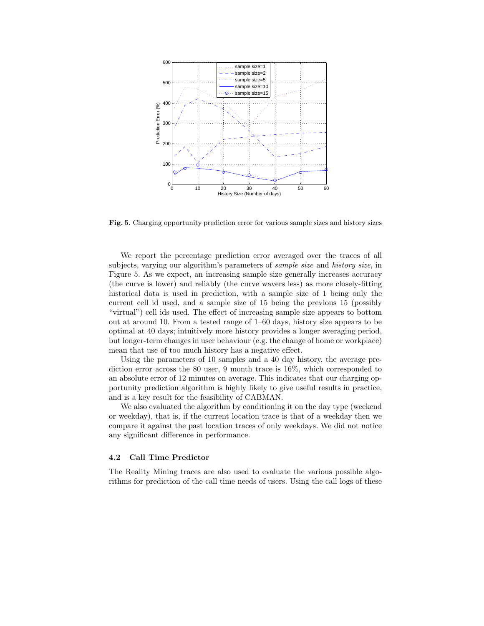

Fig. 5. Charging opportunity prediction error for various sample sizes and history sizes

We report the percentage prediction error averaged over the traces of all subjects, varying our algorithm's parameters of sample size and history size, in Figure 5. As we expect, an increasing sample size generally increases accuracy (the curve is lower) and reliably (the curve wavers less) as more closely-fitting historical data is used in prediction, with a sample size of 1 being only the current cell id used, and a sample size of 15 being the previous 15 (possibly "virtual") cell ids used. The effect of increasing sample size appears to bottom out at around 10. From a tested range of 1–60 days, history size appears to be optimal at 40 days; intuitively more history provides a longer averaging period, but longer-term changes in user behaviour (e.g. the change of home or workplace) mean that use of too much history has a negative effect.

Using the parameters of 10 samples and a 40 day history, the average prediction error across the 80 user, 9 month trace is 16%, which corresponded to an absolute error of 12 minutes on average. This indicates that our charging opportunity prediction algorithm is highly likely to give useful results in practice, and is a key result for the feasibility of CABMAN.

We also evaluated the algorithm by conditioning it on the day type (weekend or weekday), that is, if the current location trace is that of a weekday then we compare it against the past location traces of only weekdays. We did not notice any significant difference in performance.

#### 4.2 Call Time Predictor

The Reality Mining traces are also used to evaluate the various possible algorithms for prediction of the call time needs of users. Using the call logs of these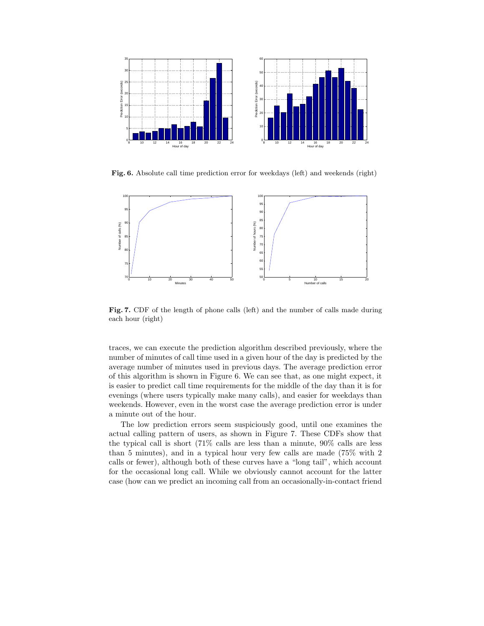

Fig. 6. Absolute call time prediction error for weekdays (left) and weekends (right)



Fig. 7. CDF of the length of phone calls (left) and the number of calls made during each hour (right)

traces, we can execute the prediction algorithm described previously, where the number of minutes of call time used in a given hour of the day is predicted by the average number of minutes used in previous days. The average prediction error of this algorithm is shown in Figure 6. We can see that, as one might expect, it is easier to predict call time requirements for the middle of the day than it is for evenings (where users typically make many calls), and easier for weekdays than weekends. However, even in the worst case the average prediction error is under a minute out of the hour.

The low prediction errors seem suspiciously good, until one examines the actual calling pattern of users, as shown in Figure 7. These CDFs show that the typical call is short (71% calls are less than a minute, 90% calls are less than 5 minutes), and in a typical hour very few calls are made (75% with 2 calls or fewer), although both of these curves have a "long tail", which account for the occasional long call. While we obviously cannot account for the latter case (how can we predict an incoming call from an occasionally-in-contact friend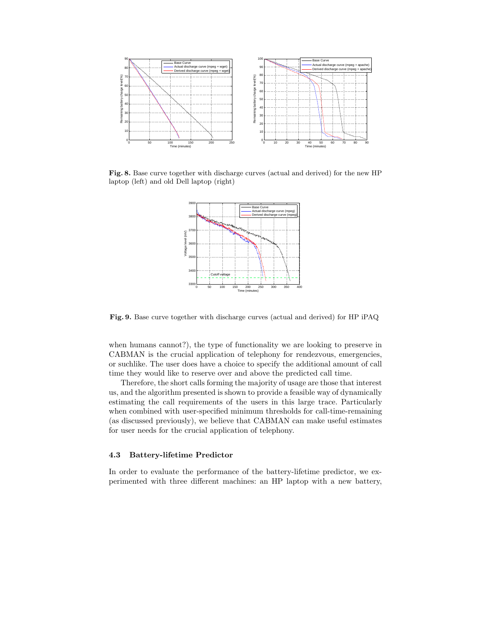

Fig. 8. Base curve together with discharge curves (actual and derived) for the new HP laptop (left) and old Dell laptop (right)



Fig. 9. Base curve together with discharge curves (actual and derived) for HP iPAQ

when humans cannot?), the type of functionality we are looking to preserve in CABMAN is the crucial application of telephony for rendezvous, emergencies, or suchlike. The user does have a choice to specify the additional amount of call time they would like to reserve over and above the predicted call time.

Therefore, the short calls forming the majority of usage are those that interest us, and the algorithm presented is shown to provide a feasible way of dynamically estimating the call requirements of the users in this large trace. Particularly when combined with user-specified minimum thresholds for call-time-remaining (as discussed previously), we believe that CABMAN can make useful estimates for user needs for the crucial application of telephony.

### 4.3 Battery-lifetime Predictor

In order to evaluate the performance of the battery-lifetime predictor, we experimented with three different machines: an HP laptop with a new battery,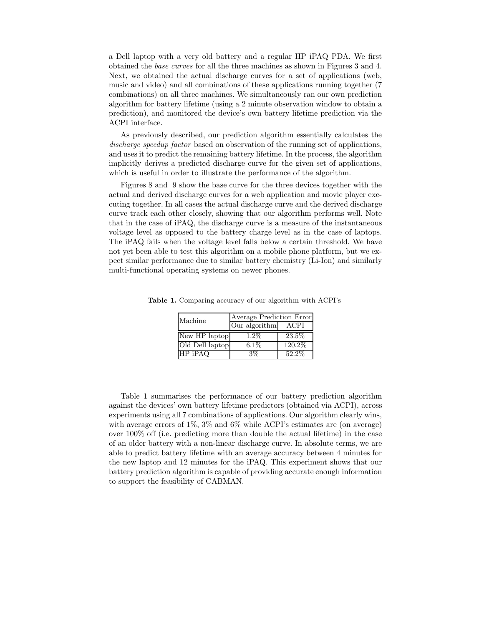a Dell laptop with a very old battery and a regular HP iPAQ PDA. We first obtained the base curves for all the three machines as shown in Figures 3 and 4. Next, we obtained the actual discharge curves for a set of applications (web, music and video) and all combinations of these applications running together (7 combinations) on all three machines. We simultaneously ran our own prediction algorithm for battery lifetime (using a 2 minute observation window to obtain a prediction), and monitored the device's own battery lifetime prediction via the ACPI interface.

As previously described, our prediction algorithm essentially calculates the discharge speedup factor based on observation of the running set of applications, and uses it to predict the remaining battery lifetime. In the process, the algorithm implicitly derives a predicted discharge curve for the given set of applications, which is useful in order to illustrate the performance of the algorithm.

Figures 8 and 9 show the base curve for the three devices together with the actual and derived discharge curves for a web application and movie player executing together. In all cases the actual discharge curve and the derived discharge curve track each other closely, showing that our algorithm performs well. Note that in the case of iPAQ, the discharge curve is a measure of the instantaneous voltage level as opposed to the battery charge level as in the case of laptops. The iPAQ fails when the voltage level falls below a certain threshold. We have not yet been able to test this algorithm on a mobile phone platform, but we expect similar performance due to similar battery chemistry (Li-Ion) and similarly multi-functional operating systems on newer phones.

| Machine         | Average Prediction Error |        |
|-----------------|--------------------------|--------|
|                 | Our algorithm            | ACPI   |
| New HP laptop   | $1.2\%$                  | 23.5%  |
| Old Dell laptop | $6.1\%$                  | 120.2% |
| HP iPAQ         | 3%                       | 52.2%  |

Table 1. Comparing accuracy of our algorithm with ACPI's

Table 1 summarises the performance of our battery prediction algorithm against the devices' own battery lifetime predictors (obtained via ACPI), across experiments using all 7 combinations of applications. Our algorithm clearly wins, with average errors of  $1\%$ ,  $3\%$  and  $6\%$  while ACPI's estimates are (on average) over 100% off (i.e. predicting more than double the actual lifetime) in the case of an older battery with a non-linear discharge curve. In absolute terms, we are able to predict battery lifetime with an average accuracy between 4 minutes for the new laptop and 12 minutes for the iPAQ. This experiment shows that our battery prediction algorithm is capable of providing accurate enough information to support the feasibility of CABMAN.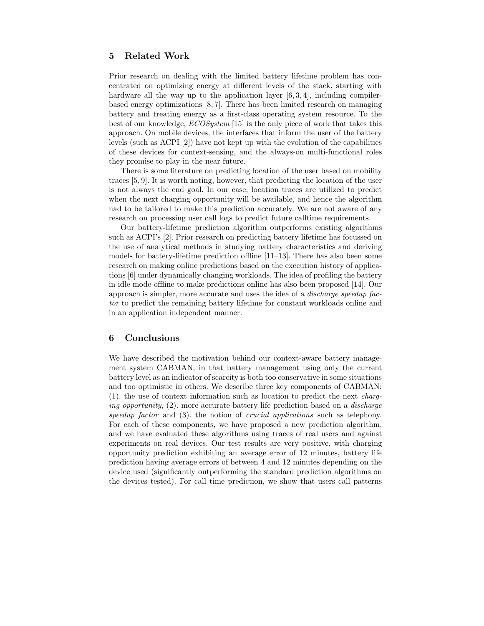# 5 Related Work

Prior research on dealing with the limited battery lifetime problem has concentrated on optimizing energy at different levels of the stack, starting with hardware all the way up to the application layer  $[6, 3, 4]$ , including compilerbased energy optimizations [8, 7]. There has been limited research on managing battery and treating energy as a first-class operating system resource. To the best of our knowledge, ECOSystem [15] is the only piece of work that takes this approach. On mobile devices, the interfaces that inform the user of the battery levels (such as ACPI [2]) have not kept up with the evolution of the capabilities of these devices for context-sensing, and the always-on multi-functional roles they promise to play in the near future.

There is some literature on predicting location of the user based on mobility traces [5, 9]. It is worth noting, however, that predicting the location of the user is not always the end goal. In our case, location traces are utilized to predict when the next charging opportunity will be available, and hence the algorithm had to be tailored to make this prediction accurately. We are not aware of any research on processing user call logs to predict future calltime requirements.

Our battery-lifetime prediction algorithm outperforms existing algorithms such as ACPI's [2]. Prior research on predicting battery lifetime has focussed on the use of analytical methods in studying battery characteristics and deriving models for battery-lifetime prediction offline  $[11-13]$ . There has also been some research on making online predictions based on the execution history of applications [6] under dynamically changing workloads. The idea of profiling the battery in idle mode offline to make predictions online has also been proposed [14]. Our approach is simpler, more accurate and uses the idea of a discharge speedup factor to predict the remaining battery lifetime for constant workloads online and in an application independent manner.

# 6 Conclusions

We have described the motivation behind our context-aware battery management system CABMAN, in that battery management using only the current battery level as an indicator of scarcity is both too conservative in some situations and too optimistic in others. We describe three key components of CABMAN: (1). the use of context information such as location to predict the next charging opportunity, (2). more accurate battery life prediction based on a discharge speedup factor and (3), the notion of *crucial applications* such as telephony. For each of these components, we have proposed a new prediction algorithm, and we have evaluated these algorithms using traces of real users and against experiments on real devices. Our test results are very positive, with charging opportunity prediction exhibiting an average error of 12 minutes, battery life prediction having average errors of between 4 and 12 minutes depending on the device used (significantly outperforming the standard prediction algorithms on the devices tested). For call time prediction, we show that users call patterns